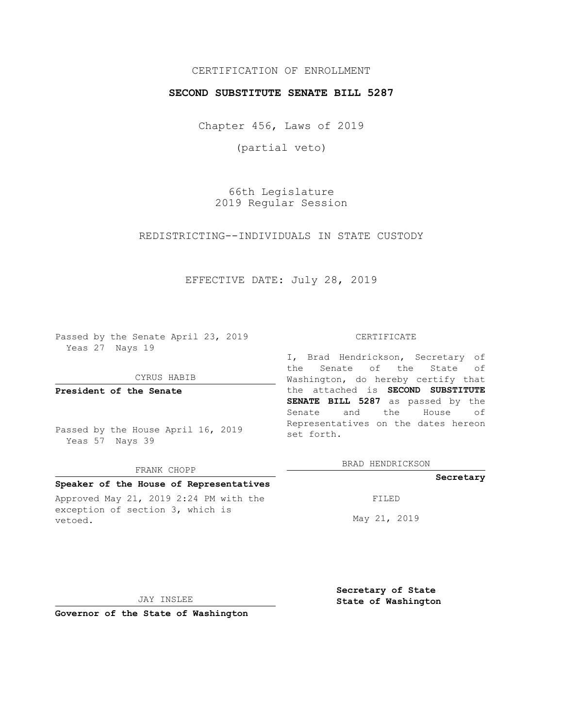## CERTIFICATION OF ENROLLMENT

### **SECOND SUBSTITUTE SENATE BILL 5287**

Chapter 456, Laws of 2019

(partial veto)

66th Legislature 2019 Regular Session

REDISTRICTING--INDIVIDUALS IN STATE CUSTODY

EFFECTIVE DATE: July 28, 2019

Passed by the Senate April 23, 2019 Yeas 27 Nays 19

#### CYRUS HABIB

**President of the Senate**

Passed by the House April 16, 2019 Yeas 57 Nays 39

#### FRANK CHOPP

### **Speaker of the House of Representatives**

Approved May 21, 2019 2:24 PM with the exception of section 3, which is vetoed.

#### CERTIFICATE

I, Brad Hendrickson, Secretary of the Senate of the State of Washington, do hereby certify that the attached is **SECOND SUBSTITUTE SENATE BILL 5287** as passed by the Senate and the House of Representatives on the dates hereon set forth.

BRAD HENDRICKSON

### **Secretary**

FILED

May 21, 2019

JAY INSLEE

**Secretary of State State of Washington**

**Governor of the State of Washington**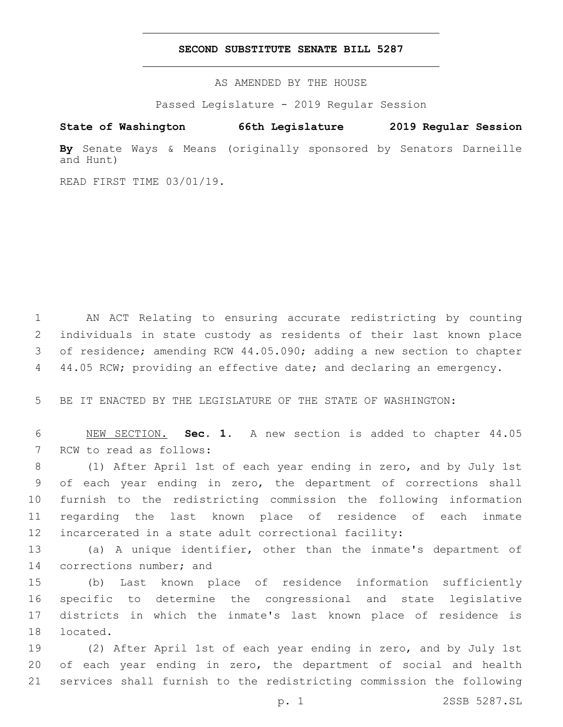### **SECOND SUBSTITUTE SENATE BILL 5287**

AS AMENDED BY THE HOUSE

Passed Legislature - 2019 Regular Session

# **State of Washington 66th Legislature 2019 Regular Session**

**By** Senate Ways & Means (originally sponsored by Senators Darneille and Hunt)

READ FIRST TIME 03/01/19.

 AN ACT Relating to ensuring accurate redistricting by counting individuals in state custody as residents of their last known place of residence; amending RCW 44.05.090; adding a new section to chapter 4 44.05 RCW; providing an effective date; and declaring an emergency.

5 BE IT ENACTED BY THE LEGISLATURE OF THE STATE OF WASHINGTON:

6 NEW SECTION. **Sec. 1.** A new section is added to chapter 44.05 7 RCW to read as follows:

 (1) After April 1st of each year ending in zero, and by July 1st of each year ending in zero, the department of corrections shall furnish to the redistricting commission the following information regarding the last known place of residence of each inmate incarcerated in a state adult correctional facility:

13 (a) A unique identifier, other than the inmate's department of 14 corrections number; and

 (b) Last known place of residence information sufficiently specific to determine the congressional and state legislative districts in which the inmate's last known place of residence is 18 located.

19 (2) After April 1st of each year ending in zero, and by July 1st 20 of each year ending in zero, the department of social and health 21 services shall furnish to the redistricting commission the following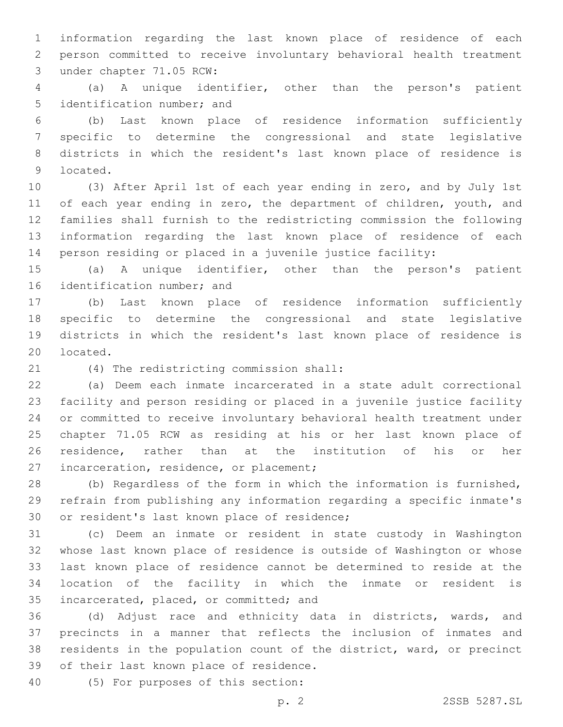information regarding the last known place of residence of each person committed to receive involuntary behavioral health treatment 3 under chapter 71.05 RCW:

 (a) A unique identifier, other than the person's patient 5 identification number; and

 (b) Last known place of residence information sufficiently specific to determine the congressional and state legislative districts in which the resident's last known place of residence is 9 located.

 (3) After April 1st of each year ending in zero, and by July 1st 11 of each year ending in zero, the department of children, youth, and families shall furnish to the redistricting commission the following information regarding the last known place of residence of each person residing or placed in a juvenile justice facility:

 (a) A unique identifier, other than the person's patient 16 identification number; and

 (b) Last known place of residence information sufficiently specific to determine the congressional and state legislative districts in which the resident's last known place of residence is 20 located.

(4) The redistricting commission shall:21

 (a) Deem each inmate incarcerated in a state adult correctional facility and person residing or placed in a juvenile justice facility or committed to receive involuntary behavioral health treatment under chapter 71.05 RCW as residing at his or her last known place of residence, rather than at the institution of his or her 27 incarceration, residence, or placement;

 (b) Regardless of the form in which the information is furnished, refrain from publishing any information regarding a specific inmate's 30 or resident's last known place of residence;

 (c) Deem an inmate or resident in state custody in Washington whose last known place of residence is outside of Washington or whose last known place of residence cannot be determined to reside at the location of the facility in which the inmate or resident is 35 incarcerated, placed, or committed; and

 (d) Adjust race and ethnicity data in districts, wards, and precincts in a manner that reflects the inclusion of inmates and residents in the population count of the district, ward, or precinct 39 of their last known place of residence.

(5) For purposes of this section:40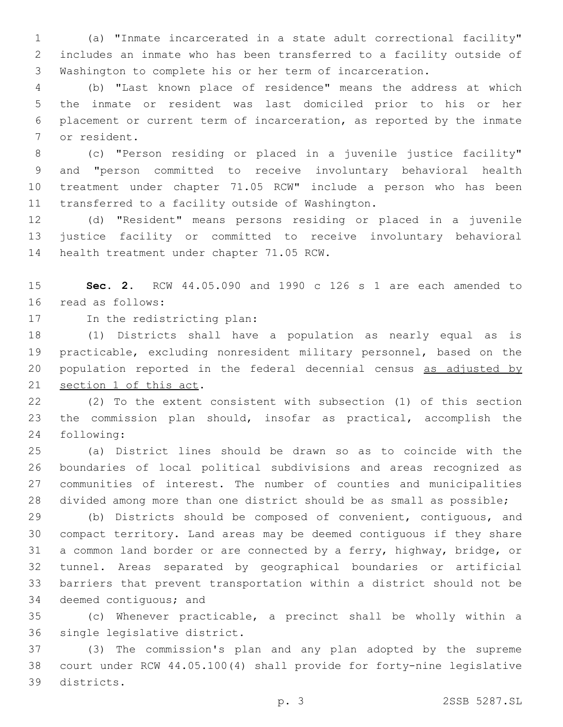(a) "Inmate incarcerated in a state adult correctional facility" includes an inmate who has been transferred to a facility outside of Washington to complete his or her term of incarceration.

 (b) "Last known place of residence" means the address at which the inmate or resident was last domiciled prior to his or her placement or current term of incarceration, as reported by the inmate 7 or resident.

 (c) "Person residing or placed in a juvenile justice facility" and "person committed to receive involuntary behavioral health treatment under chapter 71.05 RCW" include a person who has been 11 transferred to a facility outside of Washington.

 (d) "Resident" means persons residing or placed in a juvenile justice facility or committed to receive involuntary behavioral 14 health treatment under chapter 71.05 RCW.

 **Sec. 2.** RCW 44.05.090 and 1990 c 126 s 1 are each amended to 16 read as follows:

17 In the redistricting plan:

 (1) Districts shall have a population as nearly equal as is practicable, excluding nonresident military personnel, based on the 20 population reported in the federal decennial census as adjusted by 21 section 1 of this act.

 (2) To the extent consistent with subsection (1) of this section the commission plan should, insofar as practical, accomplish the following:24

 (a) District lines should be drawn so as to coincide with the boundaries of local political subdivisions and areas recognized as communities of interest. The number of counties and municipalities divided among more than one district should be as small as possible;

 (b) Districts should be composed of convenient, contiguous, and compact territory. Land areas may be deemed contiguous if they share a common land border or are connected by a ferry, highway, bridge, or tunnel. Areas separated by geographical boundaries or artificial barriers that prevent transportation within a district should not be 34 deemed contiguous; and

 (c) Whenever practicable, a precinct shall be wholly within a 36 single legislative district.

 (3) The commission's plan and any plan adopted by the supreme court under RCW 44.05.100(4) shall provide for forty-nine legislative 39 districts.